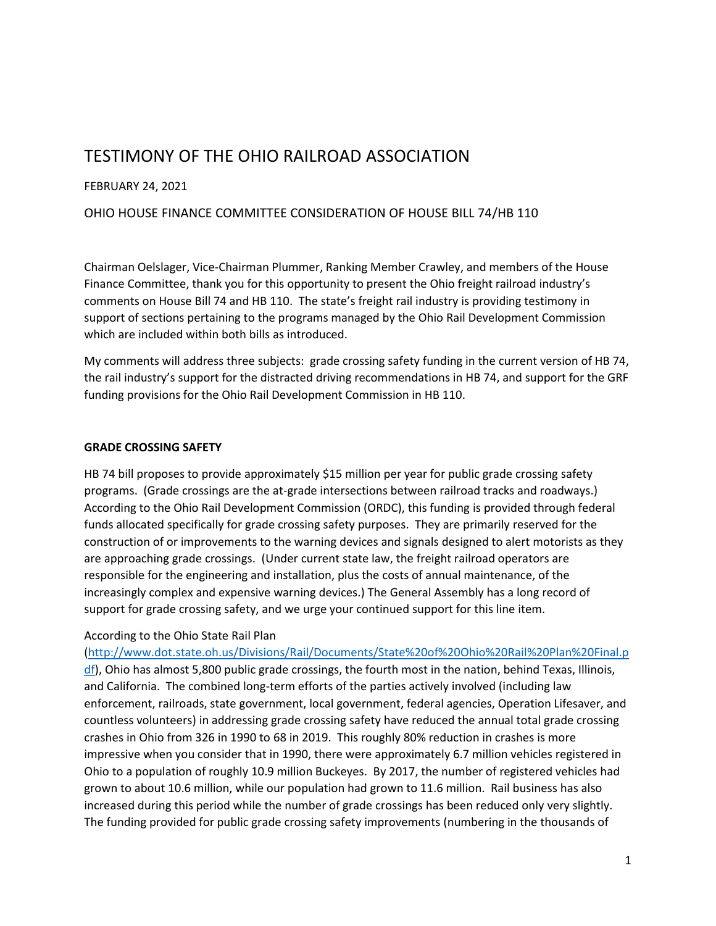# TESTIMONY OF THE OHIO RAILROAD ASSOCIATION

# FEBRUARY 24, 2021

# OHIO HOUSE FINANCE COMMITTEE CONSIDERATION OF HOUSE BILL 74/HB 110

Chairman Oelslager, Vice-Chairman Plummer, Ranking Member Crawley, and members of the House Finance Committee, thank you for this opportunity to present the Ohio freight railroad industry's comments on House Bill 74 and HB 110. The state's freight rail industry is providing testimony in support of sections pertaining to the programs managed by the Ohio Rail Development Commission which are included within both bills as introduced.

My comments will address three subjects: grade crossing safety funding in the current version of HB 74, the rail industry's support for the distracted driving recommendations in HB 74, and support for the GRF funding provisions for the Ohio Rail Development Commission in HB 110.

### **GRADE CROSSING SAFETY**

HB 74 bill proposes to provide approximately \$15 million per year for public grade crossing safety programs. (Grade crossings are the at-grade intersections between railroad tracks and roadways.) According to the Ohio Rail Development Commission (ORDC), this funding is provided through federal funds allocated specifically for grade crossing safety purposes. They are primarily reserved for the construction of or improvements to the warning devices and signals designed to alert motorists as they are approaching grade crossings. (Under current state law, the freight railroad operators are responsible for the engineering and installation, plus the costs of annual maintenance, of the increasingly complex and expensive warning devices.) The General Assembly has a long record of support for grade crossing safety, and we urge your continued support for this line item.

### According to the Ohio State Rail Plan

[\(http://www.dot.state.oh.us/Divisions/Rail/Documents/State%20of%20Ohio%20Rail%20Plan%20Final.p](http://www.dot.state.oh.us/Divisions/Rail/Documents/State%20of%20Ohio%20Rail%20Plan%20Final.pdf) [df\)](http://www.dot.state.oh.us/Divisions/Rail/Documents/State%20of%20Ohio%20Rail%20Plan%20Final.pdf), Ohio has almost 5,800 public grade crossings, the fourth most in the nation, behind Texas, Illinois, and California. The combined long-term efforts of the parties actively involved (including law enforcement, railroads, state government, local government, federal agencies, Operation Lifesaver, and countless volunteers) in addressing grade crossing safety have reduced the annual total grade crossing crashes in Ohio from 326 in 1990 to 68 in 2019. This roughly 80% reduction in crashes is more impressive when you consider that in 1990, there were approximately 6.7 million vehicles registered in Ohio to a population of roughly 10.9 million Buckeyes. By 2017, the number of registered vehicles had grown to about 10.6 million, while our population had grown to 11.6 million. Rail business has also increased during this period while the number of grade crossings has been reduced only very slightly. The funding provided for public grade crossing safety improvements (numbering in the thousands of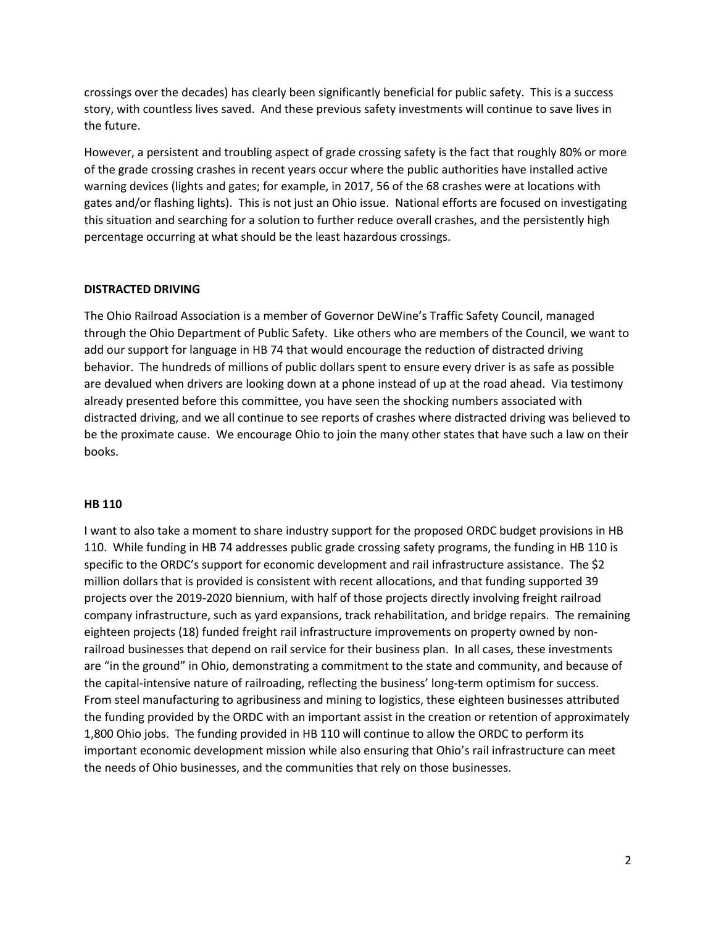crossings over the decades) has clearly been significantly beneficial for public safety. This is a success story, with countless lives saved. And these previous safety investments will continue to save lives in the future.

However, a persistent and troubling aspect of grade crossing safety is the fact that roughly 80% or more of the grade crossing crashes in recent years occur where the public authorities have installed active warning devices (lights and gates; for example, in 2017, 56 of the 68 crashes were at locations with gates and/or flashing lights). This is not just an Ohio issue. National efforts are focused on investigating this situation and searching for a solution to further reduce overall crashes, and the persistently high percentage occurring at what should be the least hazardous crossings.

#### **DISTRACTED DRIVING**

The Ohio Railroad Association is a member of Governor DeWine's Traffic Safety Council, managed through the Ohio Department of Public Safety. Like others who are members of the Council, we want to add our support for language in HB 74 that would encourage the reduction of distracted driving behavior. The hundreds of millions of public dollars spent to ensure every driver is as safe as possible are devalued when drivers are looking down at a phone instead of up at the road ahead. Via testimony already presented before this committee, you have seen the shocking numbers associated with distracted driving, and we all continue to see reports of crashes where distracted driving was believed to be the proximate cause. We encourage Ohio to join the many other states that have such a law on their books.

#### **HB 110**

I want to also take a moment to share industry support for the proposed ORDC budget provisions in HB 110. While funding in HB 74 addresses public grade crossing safety programs, the funding in HB 110 is specific to the ORDC's support for economic development and rail infrastructure assistance. The \$2 million dollars that is provided is consistent with recent allocations, and that funding supported 39 projects over the 2019-2020 biennium, with half of those projects directly involving freight railroad company infrastructure, such as yard expansions, track rehabilitation, and bridge repairs. The remaining eighteen projects (18) funded freight rail infrastructure improvements on property owned by nonrailroad businesses that depend on rail service for their business plan. In all cases, these investments are "in the ground" in Ohio, demonstrating a commitment to the state and community, and because of the capital-intensive nature of railroading, reflecting the business' long-term optimism for success. From steel manufacturing to agribusiness and mining to logistics, these eighteen businesses attributed the funding provided by the ORDC with an important assist in the creation or retention of approximately 1,800 Ohio jobs. The funding provided in HB 110 will continue to allow the ORDC to perform its important economic development mission while also ensuring that Ohio's rail infrastructure can meet the needs of Ohio businesses, and the communities that rely on those businesses.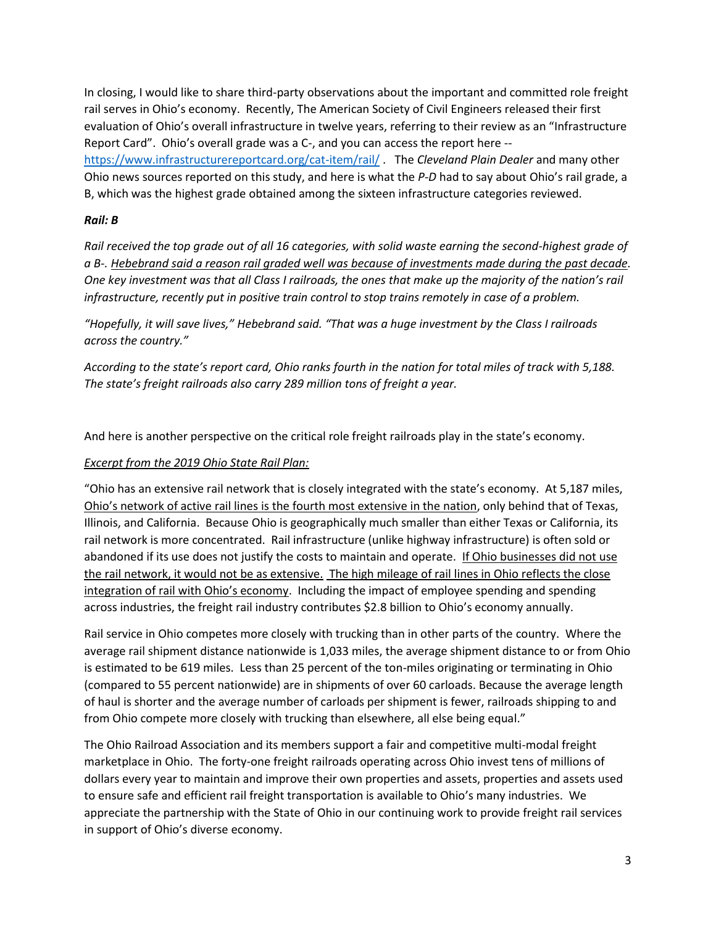In closing, I would like to share third-party observations about the important and committed role freight rail serves in Ohio's economy. Recently, The American Society of Civil Engineers released their first evaluation of Ohio's overall infrastructure in twelve years, referring to their review as an "Infrastructure Report Card". Ohio's overall grade was a C-, and you can access the report here - <https://www.infrastructurereportcard.org/cat-item/rail/> . The *Cleveland Plain Dealer* and many other Ohio news sources reported on this study, and here is what the *P-D* had to say about Ohio's rail grade, a B, which was the highest grade obtained among the sixteen infrastructure categories reviewed.

# *Rail: B*

*Rail received the top grade out of all 16 categories, with solid waste earning the second-highest grade of a B-. Hebebrand said a reason rail graded well was because of investments made during the past decade. One key investment was that all Class I railroads, the ones that make up the majority of the nation's rail infrastructure, recently put in positive train control to stop trains remotely in case of a problem.*

*"Hopefully, it will save lives," Hebebrand said. "That was a huge investment by the Class I railroads across the country."*

*According to the state's report card, Ohio ranks fourth in the nation for total miles of track with 5,188. The state's freight railroads also carry 289 million tons of freight a year.*

And here is another perspective on the critical role freight railroads play in the state's economy.

# *Excerpt from the 2019 Ohio State Rail Plan:*

"Ohio has an extensive rail network that is closely integrated with the state's economy. At 5,187 miles, Ohio's network of active rail lines is the fourth most extensive in the nation, only behind that of Texas, Illinois, and California. Because Ohio is geographically much smaller than either Texas or California, its rail network is more concentrated. Rail infrastructure (unlike highway infrastructure) is often sold or abandoned if its use does not justify the costs to maintain and operate. If Ohio businesses did not use the rail network, it would not be as extensive. The high mileage of rail lines in Ohio reflects the close integration of rail with Ohio's economy. Including the impact of employee spending and spending across industries, the freight rail industry contributes \$2.8 billion to Ohio's economy annually.

Rail service in Ohio competes more closely with trucking than in other parts of the country. Where the average rail shipment distance nationwide is 1,033 miles, the average shipment distance to or from Ohio is estimated to be 619 miles. Less than 25 percent of the ton-miles originating or terminating in Ohio (compared to 55 percent nationwide) are in shipments of over 60 carloads. Because the average length of haul is shorter and the average number of carloads per shipment is fewer, railroads shipping to and from Ohio compete more closely with trucking than elsewhere, all else being equal."

The Ohio Railroad Association and its members support a fair and competitive multi-modal freight marketplace in Ohio. The forty-one freight railroads operating across Ohio invest tens of millions of dollars every year to maintain and improve their own properties and assets, properties and assets used to ensure safe and efficient rail freight transportation is available to Ohio's many industries. We appreciate the partnership with the State of Ohio in our continuing work to provide freight rail services in support of Ohio's diverse economy.